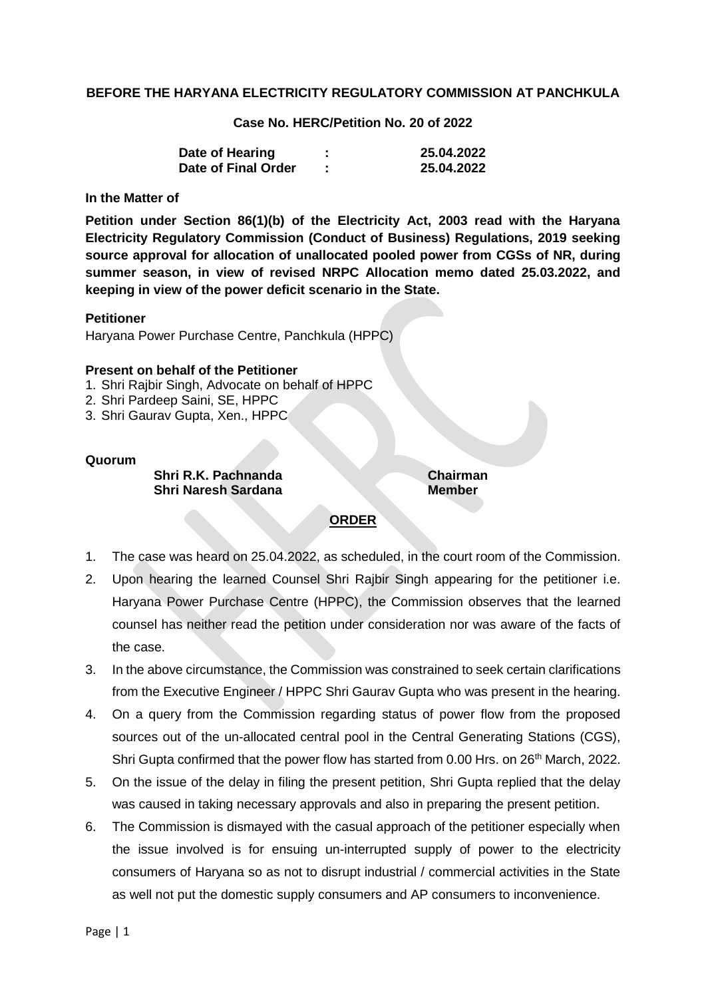# **BEFORE THE HARYANA ELECTRICITY REGULATORY COMMISSION AT PANCHKULA**

# **Case No. HERC/Petition No. 20 of 2022**

| Date of Hearing     | 25.04.2022 |
|---------------------|------------|
| Date of Final Order | 25.04.2022 |

### **In the Matter of**

**Petition under Section 86(1)(b) of the Electricity Act, 2003 read with the Haryana Electricity Regulatory Commission (Conduct of Business) Regulations, 2019 seeking source approval for allocation of unallocated pooled power from CGSs of NR, during summer season, in view of revised NRPC Allocation memo dated 25.03.2022, and keeping in view of the power deficit scenario in the State.**

#### **Petitioner**

Haryana Power Purchase Centre, Panchkula (HPPC)

### **Present on behalf of the Petitioner**

- 1. Shri Rajbir Singh, Advocate on behalf of HPPC
- 2. Shri Pardeep Saini, SE, HPPC
- 3. Shri Gaurav Gupta, Xen., HPPC

### **Quorum**

# **Shri R.K. Pachnanda Chairman Shri Naresh Sardana Member**

# **ORDER**

- 1. The case was heard on 25.04.2022, as scheduled, in the court room of the Commission.
- 2. Upon hearing the learned Counsel Shri Rajbir Singh appearing for the petitioner i.e. Haryana Power Purchase Centre (HPPC), the Commission observes that the learned counsel has neither read the petition under consideration nor was aware of the facts of the case.
- 3. In the above circumstance, the Commission was constrained to seek certain clarifications from the Executive Engineer / HPPC Shri Gaurav Gupta who was present in the hearing.
- 4. On a query from the Commission regarding status of power flow from the proposed sources out of the un-allocated central pool in the Central Generating Stations (CGS), Shri Gupta confirmed that the power flow has started from 0.00 Hrs. on 26<sup>th</sup> March, 2022.
- 5. On the issue of the delay in filing the present petition, Shri Gupta replied that the delay was caused in taking necessary approvals and also in preparing the present petition.
- 6. The Commission is dismayed with the casual approach of the petitioner especially when the issue involved is for ensuing un-interrupted supply of power to the electricity consumers of Haryana so as not to disrupt industrial / commercial activities in the State as well not put the domestic supply consumers and AP consumers to inconvenience.